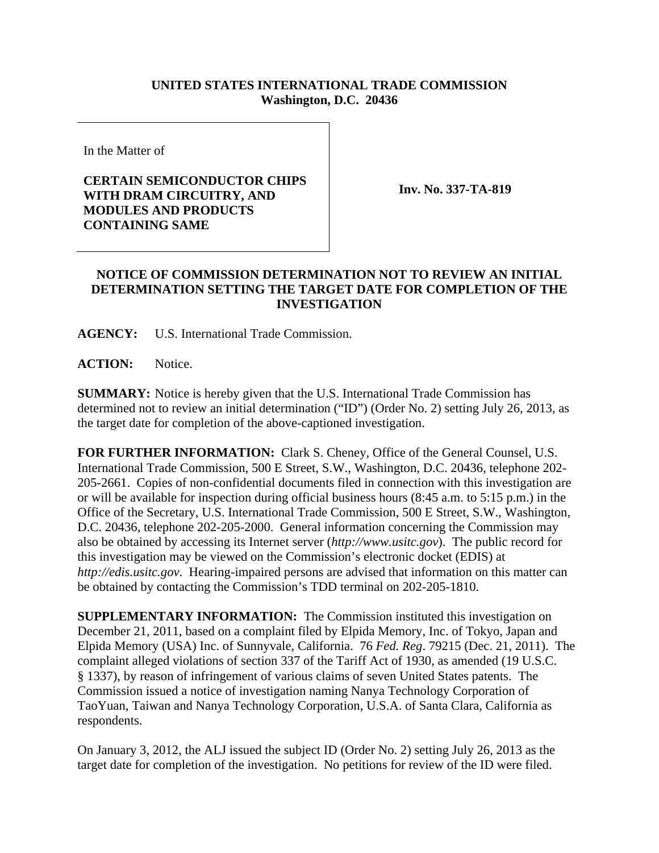## **UNITED STATES INTERNATIONAL TRADE COMMISSION Washington, D.C. 20436**

In the Matter of

## **CERTAIN SEMICONDUCTOR CHIPS WITH DRAM CIRCUITRY, AND MODULES AND PRODUCTS CONTAINING SAME**

**Inv. No. 337-TA-819**

## **NOTICE OF COMMISSION DETERMINATION NOT TO REVIEW AN INITIAL DETERMINATION SETTING THE TARGET DATE FOR COMPLETION OF THE INVESTIGATION**

**AGENCY:** U.S. International Trade Commission.

**ACTION:** Notice.

**SUMMARY:** Notice is hereby given that the U.S. International Trade Commission has determined not to review an initial determination ("ID") (Order No. 2) setting July 26, 2013, as the target date for completion of the above-captioned investigation.

**FOR FURTHER INFORMATION:** Clark S. Cheney, Office of the General Counsel, U.S. International Trade Commission, 500 E Street, S.W., Washington, D.C. 20436, telephone 202- 205-2661. Copies of non-confidential documents filed in connection with this investigation are or will be available for inspection during official business hours (8:45 a.m. to 5:15 p.m.) in the Office of the Secretary, U.S. International Trade Commission, 500 E Street, S.W., Washington, D.C. 20436, telephone 202-205-2000. General information concerning the Commission may also be obtained by accessing its Internet server (*http://www.usitc.gov*). The public record for this investigation may be viewed on the Commission's electronic docket (EDIS) at *http://edis.usitc.gov*. Hearing-impaired persons are advised that information on this matter can be obtained by contacting the Commission's TDD terminal on 202-205-1810.

**SUPPLEMENTARY INFORMATION:** The Commission instituted this investigation on December 21, 2011, based on a complaint filed by Elpida Memory, Inc. of Tokyo, Japan and Elpida Memory (USA) Inc. of Sunnyvale, California. 76 *Fed. Reg*. 79215 (Dec. 21, 2011). The complaint alleged violations of section 337 of the Tariff Act of 1930, as amended (19 U.S.C. § 1337), by reason of infringement of various claims of seven United States patents. The Commission issued a notice of investigation naming Nanya Technology Corporation of TaoYuan, Taiwan and Nanya Technology Corporation, U.S.A. of Santa Clara, California as respondents.

On January 3, 2012, the ALJ issued the subject ID (Order No. 2) setting July 26, 2013 as the target date for completion of the investigation. No petitions for review of the ID were filed.